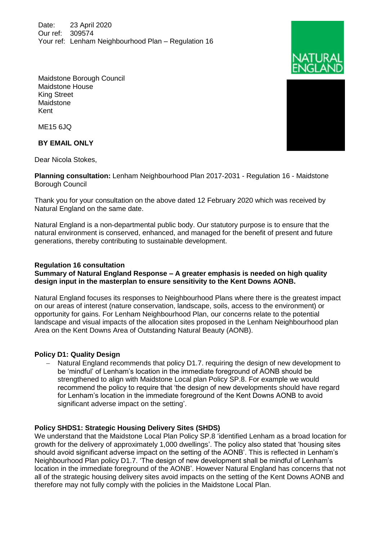Date: 23 April 2020 Our ref: 309574 Your ref: Lenham Neighbourhood Plan – Regulation 16



ME15 6JQ

**BY EMAIL ONLY**

Dear Nicola Stokes,

**Planning consultation:** Lenham Neighbourhood Plan 2017-2031 - Regulation 16 - Maidstone Borough Council

Thank you for your consultation on the above dated 12 February 2020 which was received by Natural England on the same date.

Natural England is a non-departmental public body. Our statutory purpose is to ensure that the natural environment is conserved, enhanced, and managed for the benefit of present and future generations, thereby contributing to sustainable development.

# **Regulation 16 consultation**

**Summary of Natural England Response – A greater emphasis is needed on high quality design input in the masterplan to ensure sensitivity to the Kent Downs AONB.** 

Natural England focuses its responses to Neighbourhood Plans where there is the greatest impact on our areas of interest (nature conservation, landscape, soils, access to the environment) or opportunity for gains. For Lenham Neighbourhood Plan, our concerns relate to the potential landscape and visual impacts of the allocation sites proposed in the Lenham Neighbourhood plan Area on the Kent Downs Area of Outstanding Natural Beauty (AONB).

# **Policy D1: Quality Design**

 Natural England recommends that policy D1.7. requiring the design of new development to be 'mindful' of Lenham's location in the immediate foreground of AONB should be strengthened to align with Maidstone Local plan Policy SP.8. For example we would recommend the policy to require that 'the design of new developments should have regard for Lenham's location in the immediate foreground of the Kent Downs AONB to avoid significant adverse impact on the setting'.

# **Policy SHDS1: Strategic Housing Delivery Sites (SHDS)**

We understand that the Maidstone Local Plan Policy SP.8 'identified Lenham as a broad location for growth for the delivery of approximately 1,000 dwellings'. The policy also stated that 'housing sites should avoid significant adverse impact on the setting of the AONB'. This is reflected in Lenham's Neighbourhood Plan policy D1.7. 'The design of new development shall be mindful of Lenham's location in the immediate foreground of the AONB'. However Natural England has concerns that not all of the strategic housing delivery sites avoid impacts on the setting of the Kent Downs AONB and therefore may not fully comply with the policies in the Maidstone Local Plan.



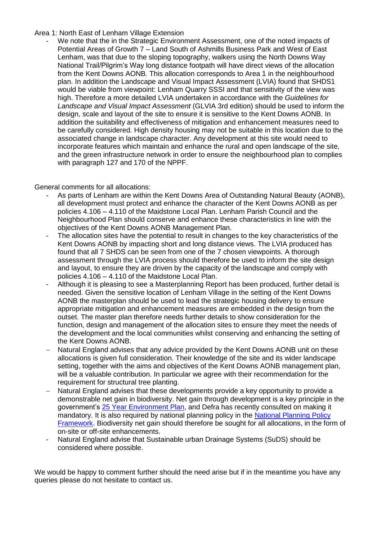### Area 1: North East of Lenham Village Extension

We note that the in the Strategic Environment Assessment, one of the noted impacts of Potential Areas of Growth 7 – Land South of Ashmills Business Park and West of East Lenham, was that due to the sloping topography, walkers using the North Downs Way National Trail/Pilgrim's Way long distance footpath will have direct views of the allocation from the Kent Downs AONB. This allocation corresponds to Area 1 in the neighbourhood plan. In addition the Landscape and Visual Impact Assessment (LVIA) found that SHDS1 would be viable from viewpoint: Lenham Quarry SSSI and that sensitivity of the view was high. Therefore a more detailed LVIA undertaken in accordance with the *Guidelines for Landscape and Visual Impact Assessment* (GLVIA 3rd edition) should be used to inform the design, scale and layout of the site to ensure it is sensitive to the Kent Downs AONB. In addition the suitability and effectiveness of mitigation and enhancement measures need to be carefully considered. High density housing may not be suitable in this location due to the associated change in landscape character. Any development at this site would need to incorporate features which maintain and enhance the rural and open landscape of the site, and the green infrastructure network in order to ensure the neighbourhood plan to complies with paragraph 127 and 170 of the NPPF.

General comments for all allocations:

- As parts of Lenham are within the Kent Downs Area of Outstanding Natural Beauty (AONB), all development must protect and enhance the character of the Kent Downs AONB as per policies 4.106 – 4.110 of the Maidstone Local Plan. Lenham Parish Council and the Neighbourhood Plan should conserve and enhance these characteristics in line with the objectives of the Kent Downs AONB Management Plan.
- The allocation sites have the potential to result in changes to the key characteristics of the Kent Downs AONB by impacting short and long distance views. The LVIA produced has found that all 7 SHDS can be seen from one of the 7 chosen viewpoints. A thorough assessment through the LVIA process should therefore be used to inform the site design and layout, to ensure they are driven by the capacity of the landscape and comply with policies 4.106 – 4.110 of the Maidstone Local Plan.
- Although it is pleasing to see a Masterplanning Report has been produced, further detail is needed. Given the sensitive location of Lenham Village in the setting of the Kent Downs AONB the masterplan should be used to lead the strategic housing delivery to ensure appropriate mitigation and enhancement measures are embedded in the design from the outset. The master plan therefore needs further details to show consideration for the function, design and management of the allocation sites to ensure they meet the needs of the development and the local communities whilst conserving and enhancing the setting of the Kent Downs AONB.
- Natural England advises that any advice provided by the Kent Downs AONB unit on these allocations is given full consideration. Their knowledge of the site and its wider landscape setting, together with the aims and objectives of the Kent Downs AONB management plan, will be a valuable contribution. In particular we agree with their recommendation for the requirement for structural tree planting.
- Natural England advises that these developments provide a key opportunity to provide a demonstrable net gain in biodiversity. Net gain through development is a key principle in the government's [25 Year Environment Plan,](https://www.gov.uk/government/publications/25-year-environment-plan) and Defra has recently consulted on making it mandatory. It is also required by national planning policy in the National Planning Policy [Framework.](https://www.gov.uk/government/publications/national-planning-policy-framework--2) Biodiversity net gain should therefore be sought for all allocations, in the form of on-site or off-site enhancements.
- Natural England advise that Sustainable urban Drainage Systems (SuDS) should be considered where possible.

We would be happy to comment further should the need arise but if in the meantime you have any queries please do not hesitate to contact us.